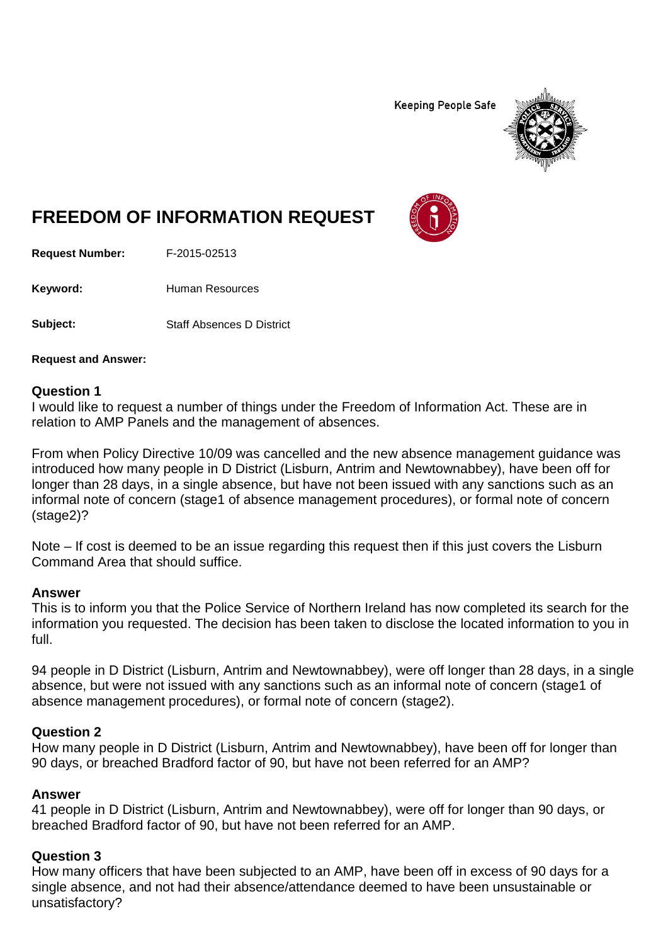**Keeping People Safe** 



# **FREEDOM OF INFORMATION REQUEST**

**Request Number:** F-2015-02513

Keyword: Human Resources

**Subject:** Staff Absences D District

**Request and Answer:**

#### **Question 1**

I would like to request a number of things under the Freedom of Information Act. These are in relation to AMP Panels and the management of absences.

From when Policy Directive 10/09 was cancelled and the new absence management guidance was introduced how many people in D District (Lisburn, Antrim and Newtownabbey), have been off for longer than 28 days, in a single absence, but have not been issued with any sanctions such as an informal note of concern (stage1 of absence management procedures), or formal note of concern (stage2)?

Note – If cost is deemed to be an issue regarding this request then if this just covers the Lisburn Command Area that should suffice.

#### **Answer**

This is to inform you that the Police Service of Northern Ireland has now completed its search for the information you requested. The decision has been taken to disclose the located information to you in full.

94 people in D District (Lisburn, Antrim and Newtownabbey), were off longer than 28 days, in a single absence, but were not issued with any sanctions such as an informal note of concern (stage1 of absence management procedures), or formal note of concern (stage2).

# **Question 2**

How many people in D District (Lisburn, Antrim and Newtownabbey), have been off for longer than 90 days, or breached Bradford factor of 90, but have not been referred for an AMP?

# **Answer**

41 people in D District (Lisburn, Antrim and Newtownabbey), were off for longer than 90 days, or breached Bradford factor of 90, but have not been referred for an AMP.

# **Question 3**

How many officers that have been subjected to an AMP, have been off in excess of 90 days for a single absence, and not had their absence/attendance deemed to have been unsustainable or unsatisfactory?